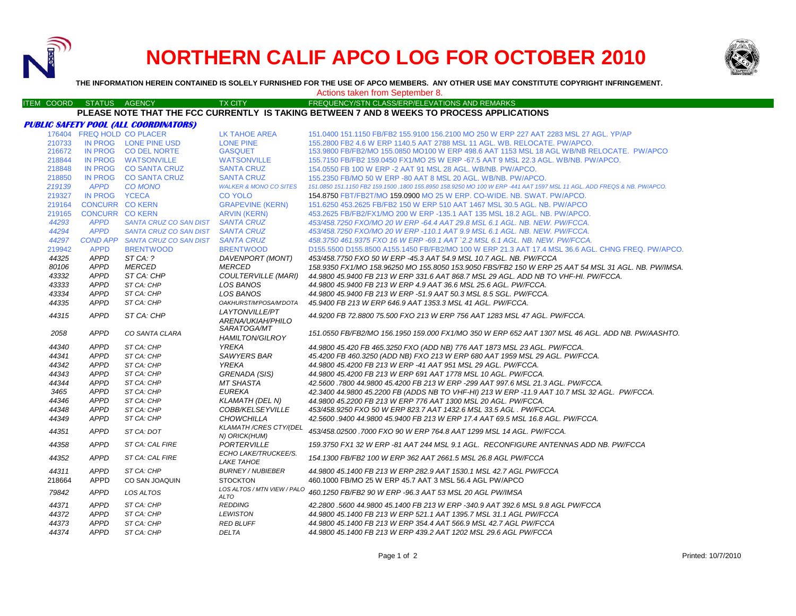

# **NORTHERN CALIF APCO LOG FOR OCTOBER 2010**



**THE INFORMATION HEREIN CONTAINED IS SOLELY FURNISHED FOR THE USE OF APCO MEMBERS. ANY OTHER USE MAY CONSTITUTE COPYRIGHT INFRINGEMENT.**

|               |                            |                                              |                                                | Actions taken from September 8.                                                                                        |
|---------------|----------------------------|----------------------------------------------|------------------------------------------------|------------------------------------------------------------------------------------------------------------------------|
| ITEM COORD    | STATUS AGENCY              |                                              | <b>TX CITY</b>                                 | <b>FREQUENCY/STN CLASS/ERP/ELEVATIONS AND REMARKS</b>                                                                  |
|               |                            |                                              |                                                | PLEASE NOTE THAT THE FCC CURRENTLY IS TAKING BETWEEN 7 AND 8 WEEKS TO PROCESS APPLICATIONS                             |
|               |                            | <b>PUBLIC SAFETY POOL (ALL COORDINATORS)</b> |                                                |                                                                                                                        |
|               | 176404 FREQ HOLD CO PLACER |                                              | LK TAHOE AREA                                  | 151.0400 151.1150 FB/FB2 155.9100 156.2100 MO 250 W ERP 227 AAT 2283 MSL 27 AGL. YP/AP                                 |
| 210733        |                            | IN PROG LONE PINE USD                        | <b>LONE PINE</b>                               | 155,2800 FB2 4.6 W ERP 1140.5 AAT 2788 MSL 11 AGL, WB, RELOCATE, PW/APCO,                                              |
| 216672        |                            | IN PROG CO DEL NORTE                         | <b>GASQUET</b>                                 | 153,9800 FB/FB2/MO 155,0850 MO100 W ERP 498.6 AAT 1153 MSL 18 AGL WB/NB RELOCATE. PW/APCO                              |
| 218844        |                            | IN PROG WATSONVILLE                          | <b>WATSONVILLE</b>                             | 155.7150 FB/FB2 159.0450 FX1/MO 25 W ERP -67.5 AAT 9 MSL 22.3 AGL. WB/NB. PW/APCO.                                     |
| 218848        |                            | IN PROG CO SANTA CRUZ                        | <b>SANTA CRUZ</b>                              | 154.0550 FB 100 W ERP -2 AAT 91 MSL 28 AGL. WB/NB. PW/APCO.                                                            |
| 218850        |                            | IN PROG CO SANTA CRUZ                        | <b>SANTA CRUZ</b>                              | 155,2350 FB/MO 50 W ERP -80 AAT 8 MSL 20 AGL, WB/NB, PW/APCO,                                                          |
| 219139        | <b>APPD</b>                | <b>CO MONO</b>                               | <b>WALKER &amp; MONO CO SITES</b>              | 151.0850 151.1150 FB2 159.1500 .1800 155.8950 158.9250 MO 100 W ERP -441 AAT 1597 MSL 11 AGL. ADD FREQS & NB. PW/APCO. |
| 219327        | IN PROG YCECA              |                                              | <b>CO YOLO</b>                                 | 154.8750 FBT/FB2T/MO 159.0900 MO 25 W ERP. CO-WIDE. NB. SWAT. PW/APCO.                                                 |
|               | <b>CONCURR CO KERN</b>     |                                              |                                                |                                                                                                                        |
| 219164        | <b>CONCURR CO KERN</b>     |                                              | <b>GRAPEVINE (KERN)</b>                        | 151.6250 453.2625 FB/FB2 150 W ERP 510 AAT 1467 MSL 30.5 AGL. NB. PW/APCO                                              |
| 219165        |                            |                                              | <b>ARVIN (KERN)</b>                            | 453.2625 FB/FB2/FX1/MO 200 W ERP -135.1 AAT 135 MSL 18.2 AGL. NB. PW/APCO.                                             |
| 44293         | <b>APPD</b>                | SANTA CRUZ CO SAN DIST SANTA CRUZ            |                                                | 453/458.7250 FXO/MO 20 W ERP -64.4 AAT 29.8 MSL 6.1 AGL. NB. NEW. PW/FCCA.                                             |
| 44294         | <b>APPD</b>                | SANTA CRUZ CO SAN DIST SANTA CRUZ            |                                                | 453/458.7250 FXO/MO 20 W ERP -110.1 AAT 9.9 MSL 6.1 AGL. NB. NEW. PW/FCCA.                                             |
| 44297         |                            | COND APP SANTA CRUZ CO SAN DIST SANTA CRUZ   |                                                | 458.3750 461.9375 FXO 16 W ERP -69.1 AAT `2.2 MSL 6.1 AGL. NB. NEW. PW/FCCA.                                           |
| 219942        | <b>APPD</b>                | <b>BRENTWOOD</b>                             | <b>BRENTWOOD</b>                               | D155.5500 D155.8500 A155.1450 FB/FB2/MO 100 W ERP 21.3 AAT 17.4 MSL 36.6 AGL. CHNG FREQ. PW/APCO.                      |
| 44325         | <b>APPD</b>                | ST CA: ?                                     | DAVENPORT (MONT)                               | 453/458.7750 FXO 50 W ERP -45.3 AAT 54.9 MSL 10.7 AGL. NB. PW/FCCA                                                     |
| 80106         | <b>APPD</b>                | <b>MERCED</b>                                | <b>MERCED</b>                                  | 158.9350 FX1/MO 158.96250 MO 155.8050 153.9050 FBS/FB2 150 W ERP 25 AAT 54 MSL 31 AGL. NB. PW/IMSA.                    |
| 43332         | <b>APPD</b>                | ST CA: CHP                                   | <b>COULTERVILLE (MARI)</b>                     | 44.9800 45.9400 FB 213 W ERP 331.6 AAT 868.7 MSL 29 AGL. ADD NB TO VHF-HI. PW/FCCA.                                    |
| 43333         | <b>APPD</b>                | ST CA: CHP                                   | LOS BANOS                                      | 44.9800 45.9400 FB 213 W ERP 4.9 AAT 36.6 MSL 25.6 AGL. PW/FCCA.                                                       |
| 43334         | <b>APPD</b>                | ST CA: CHP                                   | LOS BANOS                                      | 44.9800 45.9400 FB 213 W ERP -51.9 AAT 50.3 MSL 8.5 SGL. PW/FCCA.                                                      |
| 44335         | <b>APPD</b>                | ST CA: CHP                                   | OAKHURST/M'POSA/M'DOTA                         | 45.9400 FB 213 W ERP 646.9 AAT 1353.3 MSL 41 AGL. PW/FCCA.                                                             |
| 44315         | <b>APPD</b>                | ST CA: CHP                                   | LAYTONVILLE/PT<br>ARENA/UKIAH/PHILO            | 44.9200 FB 72.8800 75.500 FXO 213 W ERP 756 AAT 1283 MSL 47 AGL. PW/FCCA.                                              |
| 2058          | <b>APPD</b>                | CO SANTA CLARA                               | <i>SARATOGA/MT</i><br><b>HAMILTON/GILROY</b>   | 151.0550 FB/FB2/MO 156.1950 159.000 FX1/MO 350 W ERP 652 AAT 1307 MSL 46 AGL. ADD NB. PW/AASHTO.                       |
| 44340         | <b>APPD</b>                | ST CA: CHP                                   | <b>YREKA</b>                                   | 44.9800 45.420 FB 465.3250 FXO (ADD NB) 776 AAT 1873 MSL 23 AGL. PW/FCCA.                                              |
| 44341         | <b>APPD</b>                | ST CA: CHP                                   | <b>SAWYERS BAR</b>                             | 45.4200 FB 460.3250 (ADD NB) FXO 213 W ERP 680 AAT 1959 MSL 29 AGL. PW/FCCA.                                           |
| 44342         | <b>APPD</b>                | ST CA: CHP                                   | YREKA                                          | 44.9800 45.4200 FB 213 W ERP -41 AAT 951 MSL 29 AGL. PW/FCCA.                                                          |
| 44343         | <b>APPD</b>                | ST CA: CHP                                   | GRENADA (SIS)                                  | 44.9800 45.4200 FB 213 W ERP 691 AAT 1778 MSL 10 AGL. PW/FCCA.                                                         |
|               | <b>APPD</b>                |                                              |                                                |                                                                                                                        |
| 44344<br>3465 | <b>APPD</b>                | ST CA: CHP<br>ST CA: CHP                     | <b>MT SHASTA</b><br><b>EUREKA</b>              | 42.5600 .7800 44.9800 45.4200 FB 213 W ERP -299 AAT 997.6 MSL 21.3 AGL. PW/FCCA.                                       |
|               | <b>APPD</b>                | ST CA: CHP                                   |                                                | 42.3400 44.9800 45.2200 FB (ADDS NB TO VHF-HI) 213 W ERP -11.9 AAT 10.7 MSL 32 AGL. PW/FCCA.                           |
| 44346         |                            |                                              | <b>KLAMATH (DEL N)</b>                         | 44.9800 45.2200 FB 213 W ERP 776 AAT 1300 MSL 20 AGL. PW/FCCA.                                                         |
| 44348         | <b>APPD</b>                | ST CA: CHP                                   | COBB/KELSEYVILLE                               | 453/458.9250 FXO 50 W ERP 823.7 AAT 1432.6 MSL 33.5 AGL . PW/FCCA.                                                     |
| 44349         | <b>APPD</b>                | ST CA: CHP                                   | <b>CHOWCHILLA</b>                              | 42.5600 .9400 44.9800 45.9400 FB 213 W ERP 17.4 AAT 69.5 MSL 16.8 AGL. PW/FCCA.                                        |
| 44351         | <b>APPD</b>                | ST CA: DOT                                   | <b>KLAMATH /CRES CTY/(DEL</b><br>N) ORICK(HUM) | 453/458.02500 .7000 FXO 90 W ERP 764.8 AAT 1299 MSL 14 AGL. PW/FCCA.                                                   |
| 44358         | <b>APPD</b>                | ST CA: CAL FIRE                              | PORTERVILLE<br>ECHO LAKE/TRUCKEE/S.            | 159.3750 FX1 32 W ERP -81 AAT 244 MSL 9.1 AGL. RECONFIGURE ANTENNAS ADD NB. PW/FCCA                                    |
| 44352         | <b>APPD</b>                | ST CA: CAL FIRE                              | <b>LAKE TAHOE</b>                              | 154.1300 FB/FB2 100 W ERP 362 AAT 2661.5 MSL 26.8 AGL PW/FCCA                                                          |
| 44311         | <b>APPD</b>                | ST CA: CHP                                   | <b>BURNEY / NUBIEBER</b>                       | 44.9800 45.1400 FB 213 W ERP 282.9 AAT 1530.1 MSL 42.7 AGL PW/FCCA                                                     |
| 218664        | <b>APPD</b>                | CO SAN JOAQUIN                               | <b>STOCKTON</b>                                | 460,1000 FB/MO 25 W ERP 45.7 AAT 3 MSL 56.4 AGL PW/APCO                                                                |
| 79842         | <b>APPD</b>                | LOS ALTOS                                    | LOS ALTOS / MTN VIEW / PALO<br>ALTO            | 460.1250 FB/FB2 90 W ERP -96.3 AAT 53 MSL 20 AGL PW/IMSA                                                               |
| 44371         | <b>APPD</b>                | ST CA: CHP                                   | <b>REDDING</b>                                 | 42.2800 .5600 44.9800 45.1400 FB 213 W ERP -340.9 AAT 392.6 MSL 9.8 AGL PW/FCCA                                        |
| 44372         | <b>APPD</b>                | ST CA: CHP                                   | <b>LEWISTON</b>                                | 44.9800 45.1400 FB 213 W ERP 521.1 AAT 1395.7 MSL 31.1 AGL PW/FCCA                                                     |
| 44373         | <b>APPD</b>                | ST CA: CHP                                   | <b>RED BLUFF</b>                               | 44.9800 45.1400 FB 213 W ERP 354.4 AAT 566.9 MSL 42.7 AGL PW/FCCA                                                      |
| 44374         | <b>APPD</b>                | ST CA: CHP                                   | <b>DELTA</b>                                   | 44.9800 45.1400 FB 213 W ERP 439.2 AAT 1202 MSL 29.6 AGL PW/FCCA                                                       |